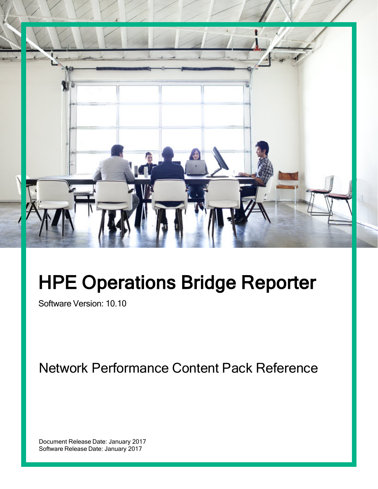

# HPE Operations Bridge Reporter

Software Version: 10.10

Network Performance Content Pack Reference

Document Release Date: January 2017 Software Release Date: January 2017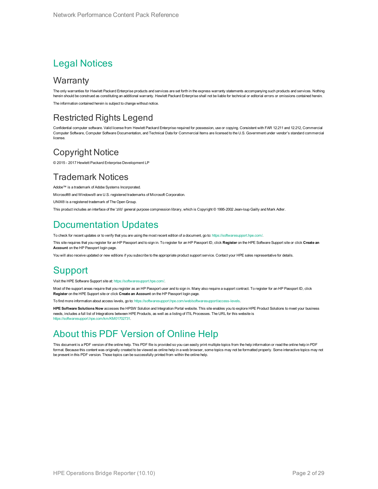### Legal Notices

### **Warranty**

The only warranties for Hewlett Packard Enterprise products and services are set forth in the express warranty statements accompanying such products and services. Nothing herein should be construed as constituting an additional warranty. Hewlett Packard Enterprise shall not be liable for technical or editorial errors or omissions contained herein. The information contained herein is subject to change without notice.

### Restricted Rights Legend

Confidential computer software. Valid license from Hewlett Packard Enterprise required for possession, use or copying. Consistent with FAR 12.211 and 12.212, Commercial Computer Software, Computer Software Documentation, and Technical Data for Commercial Items are licensed to the U.S. Government under vendor's standard commercial license.

### Copyright Notice

© 2015 - 2017 Hewlett Packard Enterprise Development LP

### Trademark Notices

Adobe™ is a trademark of Adobe Systems Incorporated. Microsoft® and Windows® are U.S. registered trademarks of Microsoft Corporation. UNIX® is a registered trademark of The Open Group. This product includes an interface of the 'zlib' general purpose compression library, which is Copyright © 1995-2002 Jean-loup Gailly and Mark Adler.

### Documentation Updates

To check for recent updates or to verify that you are using the most recent edition of a document, go to: <https://softwaresupport.hpe.com/>.

This site requires that you register for an HP Passport and to sign in. To register for an HP Passport ID, click **Register** on the HPE Software Support site or click **Create an Account** on the HP Passport login page.

You will also receive updated or new editions if you subscribe to the appropriate product support service. Contact your HPE sales representative for details.

### Support

Visit the HPE Software Support site at: <https://softwaresupport.hpe.com/>.

Most of the support areas require that you register as an HP Passport user and to sign in. Many also require a support contract. To register for an HP Passport ID, click **Register** on the HPE Support site or click **Create an Account** on the HP Passport login page.

To find more information about access levels, go to: <https://softwaresupport.hpe.com/web/softwaresupport/access-levels>.

**HPE Software Solutions Now** accesses the HPSW Solution and Integration Portal website. This site enables you to explore HPE Product Solutions to meet your business needs, includes a full list of Integrations between HPE Products, as well as a listing of ITIL Processes. The URL for this website is https://softwaresupport.hpe.com/km/KM01702731

### About this PDF Version of Online Help

This document is a PDF version of the online help. This PDF file is provided so you can easily print multiple topics from the help information or read the online help in PDF format. Because this content was originally created to be viewed as online help in a web browser, some topics may not be formatted properly. Some interactive topics may not be present in this PDF version. Those topics can be successfully printed from within the online help.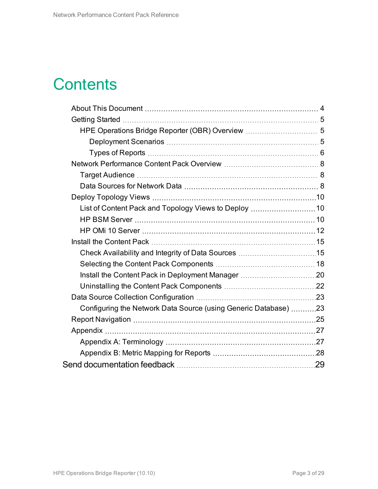# **Contents**

| HPE Operations Bridge Reporter (OBR) Overview  5                |  |
|-----------------------------------------------------------------|--|
|                                                                 |  |
|                                                                 |  |
|                                                                 |  |
|                                                                 |  |
|                                                                 |  |
|                                                                 |  |
|                                                                 |  |
|                                                                 |  |
|                                                                 |  |
|                                                                 |  |
|                                                                 |  |
|                                                                 |  |
|                                                                 |  |
|                                                                 |  |
|                                                                 |  |
| Configuring the Network Data Source (using Generic Database) 23 |  |
|                                                                 |  |
|                                                                 |  |
|                                                                 |  |
|                                                                 |  |
|                                                                 |  |
|                                                                 |  |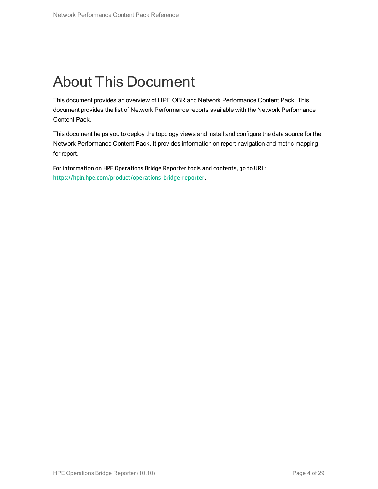# <span id="page-3-0"></span>About This Document

This document provides an overview of HPE OBR and Network Performance Content Pack. This document provides the list of Network Performance reports available with the Network Performance Content Pack.

This document helps you to deploy the topology views and install and configure the data source for the Network Performance Content Pack. It provides information on report navigation and metric mapping for report.

For information on HPE Operations Bridge Reporter tools and contents, go to URL: [https://hpln.hpe.com/product/operations-bridge-reporter.](https://hpln.hpe.com/product/operations-bridge-reporter)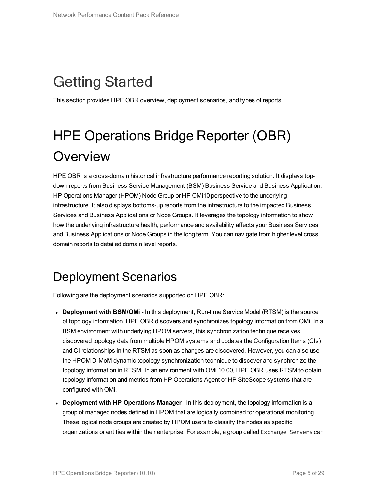# <span id="page-4-0"></span>Getting Started

<span id="page-4-1"></span>This section provides HPE OBR overview, deployment scenarios, and types of reports.

# HPE Operations Bridge Reporter (OBR) **Overview**

HPE OBR is a cross-domain historical infrastructure performance reporting solution. It displays topdown reports from Business Service Management (BSM) Business Service and Business Application, HP Operations Manager (HPOM) Node Group or HP OMi10 perspective to the underlying infrastructure. It also displays bottoms-up reports from the infrastructure to the impacted Business Services and Business Applications or Node Groups. It leverages the topology information to show how the underlying infrastructure health, performance and availability affects your Business Services and Business Applications or Node Groups in the long term. You can navigate from higher level cross domain reports to detailed domain level reports.

### <span id="page-4-2"></span>Deployment Scenarios

Following are the deployment scenarios supported on HPE OBR:

- **Deployment with BSM/OMi** In this deployment, Run-time Service Model (RTSM) is the source of topology information. HPE OBR discovers and synchronizes topology information from OMi. In a BSM environment with underlying HPOM servers, this synchronization technique receives discovered topology data from multiple HPOM systems and updates the Configuration Items (CIs) and CI relationships in the RTSM as soon as changes are discovered. However, you can also use the HPOM D-MoM dynamic topology synchronization technique to discover and synchronize the topology information in RTSM. In an environment with OMi 10.00, HPE OBR uses RTSM to obtain topology information and metrics from HP Operations Agent or HP SiteScope systems that are configured with OMi.
- **Deployment with HP Operations Manager** In this deployment, the topology information is a group of managed nodes defined in HPOM that are logically combined for operational monitoring. These logical node groups are created by HPOM users to classify the nodes as specific organizations or entities within their enterprise. For example, a group called Exchange Servers can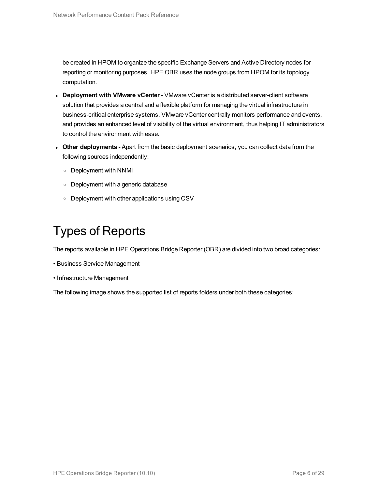be created in HPOM to organize the specific Exchange Servers and Active Directory nodes for reporting or monitoring purposes. HPE OBR uses the node groups from HPOM for its topology computation.

- <sup>l</sup> **Deployment with VMware vCenter** VMware vCenter is a distributed server-client software solution that provides a central and a flexible platform for managing the virtual infrastructure in business-critical enterprise systems. VMware vCenter centrally monitors performance and events, and provides an enhanced level of visibility of the virtual environment, thus helping IT administrators to control the environment with ease.
- <sup>l</sup> **Other deployments** Apart from the basic deployment scenarios, you can collect data from the following sources independently:
	- <sup>o</sup> Deployment with NNMi
	- <sup>o</sup> Deployment with a generic database
	- <sup>o</sup> Deployment with other applications using CSV

### <span id="page-5-0"></span>Types of Reports

The reports available in HPE Operations Bridge Reporter (OBR) are divided into two broad categories:

- Business Service Management
- Infrastructure Management

The following image shows the supported list of reports folders under both these categories: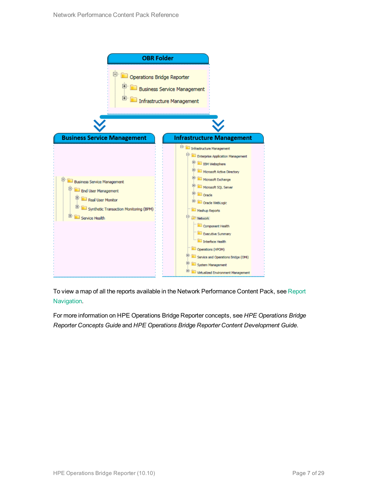

To view a map of all the reports available in the Network Performance Content Pack, see [Report](#page-24-0) [Navigation.](#page-24-0)

For more information on HPE Operations Bridge Reporter concepts, see *HPE Operations Bridge Reporter Concepts Guide* and *HPE Operations Bridge Reporter Content Development Guide*.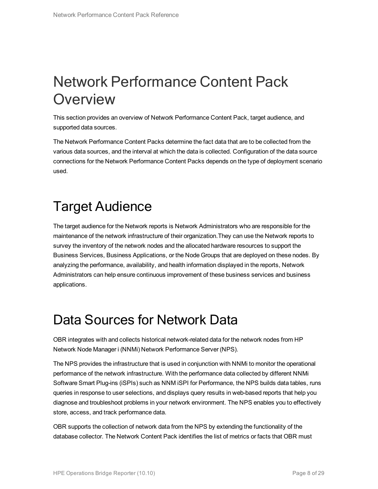# <span id="page-7-0"></span>Network Performance Content Pack **Overview**

This section provides an overview of Network Performance Content Pack, target audience, and supported data sources.

The Network Performance Content Packs determine the fact data that are to be collected from the various data sources, and the interval at which the data is collected. Configuration of the data source connections for the Network Performance Content Packs depends on the type of deployment scenario used.

## <span id="page-7-1"></span>Target Audience

The target audience for the Network reports is Network Administrators who are responsible for the maintenance of the network infrastructure of their organization.They can use the Network reports to survey the inventory of the network nodes and the allocated hardware resources to support the Business Services, Business Applications, or the Node Groups that are deployed on these nodes. By analyzing the performance, availability, and health information displayed in the reports, Network Administrators can help ensure continuous improvement of these business services and business applications.

## <span id="page-7-2"></span>Data Sources for Network Data

OBR integrates with and collects historical network-related data for the network nodes from HP Network Node Manager i (NNMi) Network Performance Server (NPS).

The NPS provides the infrastructure that is used in conjunction with NNMi to monitor the operational performance of the network infrastructure. With the performance data collected by different NNMi Software Smart Plug-ins (iSPIs) such as NNM iSPI for Performance, the NPS builds data tables, runs queries in response to user selections, and displays query results in web-based reports that help you diagnose and troubleshoot problems in your network environment. The NPS enables you to effectively store, access, and track performance data.

OBR supports the collection of network data from the NPS by extending the functionality of the database collector. The Network Content Pack identifies the list of metrics or facts that OBR must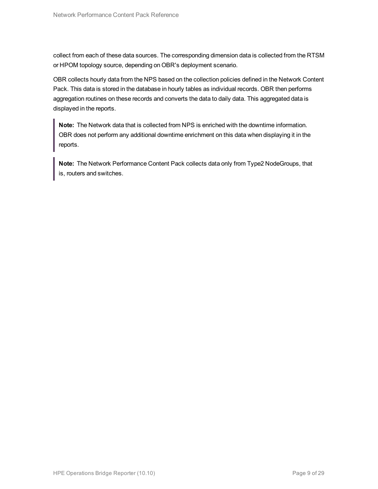collect from each of these data sources. The corresponding dimension data is collected from the RTSM or HPOM topology source, depending on OBR's deployment scenario.

OBR collects hourly data from the NPS based on the collection policies defined in the Network Content Pack. This data is stored in the database in hourly tables as individual records. OBR then performs aggregation routines on these records and converts the data to daily data. This aggregated data is displayed in the reports.

**Note:** The Network data that is collected from NPS is enriched with the downtime information. OBR does not perform any additional downtime enrichment on this data when displaying it in the reports.

**Note:** The Network Performance Content Pack collects data only from Type2 NodeGroups, that is, routers and switches.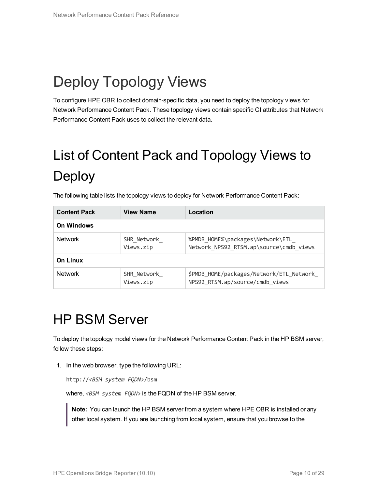# <span id="page-9-0"></span>Deploy Topology Views

<span id="page-9-1"></span>To configure HPE OBR to collect domain-specific data, you need to deploy the topology views for Network Performance Content Pack. These topology views contain specific CI attributes that Network Performance Content Pack uses to collect the relevant data.

# <span id="page-9-3"></span>List of Content Pack and Topology Views to Deploy

| <b>Content Pack</b> | <b>View Name</b>         | Location                                                                    |
|---------------------|--------------------------|-----------------------------------------------------------------------------|
| <b>On Windows</b>   |                          |                                                                             |
| <b>Network</b>      | SHR Network<br>Views.zip | %PMDB HOME%\packages\Network\ETL<br>Network NPS92 RTSM.ap\source\cmdb views |
| <b>On Linux</b>     |                          |                                                                             |
| <b>Network</b>      | SHR Network<br>Views.zip | \$PMDB HOME/packages/Network/ETL Network<br>NPS92_RTSM.ap/source/cmdb views |

The following table lists the topology views to deploy for Network Performance Content Pack:

## <span id="page-9-2"></span>HP BSM Server

To deploy the topology model views for the Network Performance Content Pack in the HP BSM server, follow these steps:

1. In the web browser, type the following URL:

http://*<BSM system FQDN>*/bsm

where, *<BSM system FQDN>* is the FQDN of the HP BSM server.

**Note:** You can launch the HP BSM server from a system where HPE OBR is installed or any other local system. If you are launching from local system, ensure that you browse to the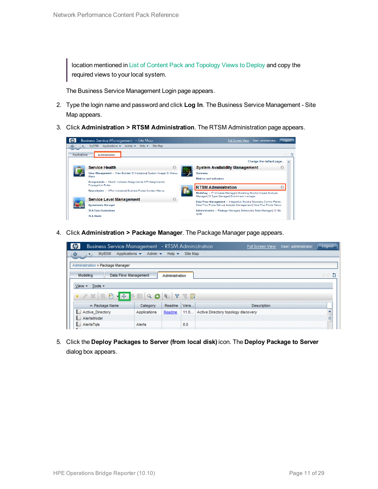location mentioned in List of Content Pack and [Topology](#page-9-3) Views to Deploy and copy the required views to your local system.

The Business Service Management Login page appears.

- 2. Type the login name and password and click **Log In**. The Business Service Management Site Map appears.
- 3. Click **Administration > RTSM Administration**. The RTSM Administration page appears.



4. Click **Administration > Package Manager**. The Package Manager page appears.



5. Click the **Deploy Packages to Server (from local disk)** icon. The **Deploy Package to Server** dialog box appears.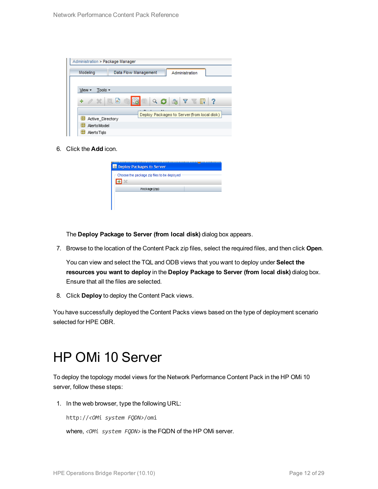| Administration > Package Manager |                                             |
|----------------------------------|---------------------------------------------|
| Modeling                         | Data Flow Management<br>Administration      |
|                                  |                                             |
| Tools $\sim$<br>View -           |                                             |
| $+ 0 x 0$                        | Ш<br>$Q G$ a $V$<br>-?<br>W.                |
| Active Directory                 | Deploy Packages to Server (from local disk) |
| 뜵<br><b>AlertsModel</b>          |                                             |
| AlertsTals                       |                                             |

6. Click the **Add** icon.

| <b>Deploy Packages to Server</b>            |  |
|---------------------------------------------|--|
| Choose the package zip files to be deployed |  |
| Package(zip)                                |  |
|                                             |  |

The **Deploy Package to Server (from local disk)** dialog box appears.

7. Browse to the location of the Content Pack zip files, select the required files, and then click **Open**.

You can view and select the TQL and ODB views that you want to deploy under **Select the resources you want to deploy** in the **Deploy Package to Server (from local disk)** dialog box. Ensure that all the files are selected.

8. Click **Deploy** to deploy the Content Pack views.

<span id="page-11-0"></span>You have successfully deployed the Content Packs views based on the type of deployment scenario selected for HPE OBR.

### HP OMi 10 Server

To deploy the topology model views for the Network Performance Content Pack in the HP OMi 10 server, follow these steps:

1. In the web browser, type the following URL:

http://*<OMi system FQDN>*/omi

where, *<OMi system FQDN>* is the FQDN of the HP OMi server.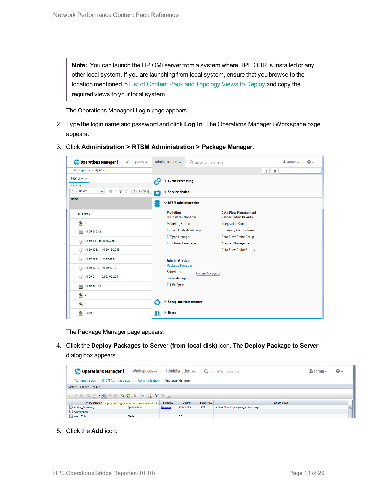**Note:** You can launch the HP OMi server from a system where HPE OBR is installed or any other local system. If you are launching from local system, ensure that you browse to the location mentioned in List of Content Pack and [Topology](#page-9-3) Views to Deploy and copy the required views to your local system.

The Operations Manager i Login page appears.

- 2. Type the login name and password and click **Log In**. The Operations Manager i Workspace page appears.
- 3. Click **Administration > RTSM Administration > Package Manager**.

| <b>Operations Manager i</b><br>Workspaces $\smile$                        | Administration $\sim$                         | Q search for menu items | $\Delta$ admin $\sim$                                         | $\Omega$    |  |
|---------------------------------------------------------------------------|-----------------------------------------------|-------------------------|---------------------------------------------------------------|-------------|--|
| Workspaces > My Workspace                                                 |                                               |                         |                                                               | V.<br>$E =$ |  |
| 360° View x                                                               | > Event Processing<br>łФ                      |                         |                                                               |             |  |
| Hierarchy                                                                 |                                               |                         |                                                               |             |  |
| Þ<br>EUM_BSMR<br>$\checkmark$<br>Y<br>[Select a Filter]<br>$\overline{Y}$ | ô<br>> Service Health                         |                         |                                                               |             |  |
| Name                                                                      | $\sim$ RTSM Administration                    |                         |                                                               |             |  |
| E EUM_BSMR                                                                | <b>Modeling</b><br><b>IT Universe Manager</b> |                         | <b>Data Flow Management</b><br><b>Reconciliation Priority</b> |             |  |
| $\boxed{0}$ 1                                                             | <b>Modeling Studio</b>                        |                         | <b>Integration Studio</b>                                     |             |  |
| U<br>16.55.245.42                                                         | <b>Impact Analysis Manager</b>                |                         | <b>Discovery Control Panel</b>                                |             |  |
| $\bullet$ 16.59.1.1 - 16.59.50.255                                        | <b>CI Type Manager</b><br>Enrichment manager  |                         | <b>Data Flow Probe Setup</b><br><b>Adapter Management</b>     |             |  |
| $\bigotimes$ 16.59.101.1 - 16.59.150.255                                  |                                               |                         | <b>Data Flow Probe Status</b>                                 |             |  |
|                                                                           | <b>Administration</b>                         |                         |                                                               |             |  |
| $\bigcirc$ 16.59.42.70 - 16.59.42.70                                      | <b>Package Manager</b><br>Scheduler           |                         |                                                               |             |  |
| $\bigotimes$ 16.59.51.1 - 16.59.100.255                                   | <b>State Manager</b>                          | Package Manager         |                                                               |             |  |
| 16.59.67.149<br>▄                                                         | <b>CI Life Cycle</b>                          |                         |                                                               |             |  |
| $\left[ \bigcirc \right]$ 2                                               |                                               |                         |                                                               |             |  |
| $\Theta$ 4                                                                | Ö<br>> Setup and Maintenance                  |                         |                                                               |             |  |
| Active                                                                    | $\angle$ Users<br>я                           |                         |                                                               |             |  |

The Package Manager page appears.

4. Click the **Deploy Packages to Server (from local disk)** icon. The **Deploy Package to Server** dialog box appears.

| <b><i>OD</i></b> Operations Manager i                                      | Workspaces $\sim$                                                                                                                                                                                                                                                                                                                                                                                                                                                                                                                     |        | Administration $\sim$ |          | Q search for menu items             | $\blacktriangle$ r admin $\blacktriangleright$ | $\odot$ |  |  |
|----------------------------------------------------------------------------|---------------------------------------------------------------------------------------------------------------------------------------------------------------------------------------------------------------------------------------------------------------------------------------------------------------------------------------------------------------------------------------------------------------------------------------------------------------------------------------------------------------------------------------|--------|-----------------------|----------|-------------------------------------|------------------------------------------------|---------|--|--|
| Administration > RTSM Administration > Administration ><br>Package Manager |                                                                                                                                                                                                                                                                                                                                                                                                                                                                                                                                       |        |                       |          |                                     |                                                |         |  |  |
| View $\star$ Tools $\star$ Help $\star$                                    |                                                                                                                                                                                                                                                                                                                                                                                                                                                                                                                                       |        |                       |          |                                     |                                                |         |  |  |
|                                                                            | $* \angle \times \boxed{0} \quad \Rightarrow \quad \text{if} \quad \text{if} \quad \text{if} \quad \text{if} \quad \text{if} \quad \text{if} \quad \text{if} \quad \text{if} \quad \text{if} \quad \text{if} \quad \text{if} \quad \text{if} \quad \text{if} \quad \text{if} \quad \text{if} \quad \text{if} \quad \text{if} \quad \text{if} \quad \text{if} \quad \text{if} \quad \text{if} \quad \text{if} \quad \text{if} \quad \text{if} \quad \text{if} \quad \text{if} \quad \text{if} \quad \text{if} \quad \text{if} \quad \$ |        |                       |          |                                     |                                                |         |  |  |
| ≐ Package N Deploy packages to server (from local disk)                    |                                                                                                                                                                                                                                                                                                                                                                                                                                                                                                                                       | Readme | Version               | Build Nu | <b>Description</b>                  |                                                |         |  |  |
| Active_Directory                                                           | Applications                                                                                                                                                                                                                                                                                                                                                                                                                                                                                                                          | Readme | 13.0-1179             | 1179     | Active Directory topology discovery |                                                |         |  |  |
| AlertsModel                                                                |                                                                                                                                                                                                                                                                                                                                                                                                                                                                                                                                       |        |                       |          |                                     |                                                |         |  |  |
| AlertsTqls                                                                 | Alerts                                                                                                                                                                                                                                                                                                                                                                                                                                                                                                                                |        | 8.0                   |          |                                     |                                                |         |  |  |

5. Click the **Add** icon.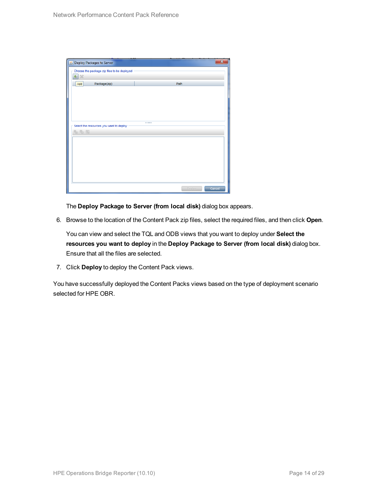| Deploy Packages to Server                   |                  | $\overline{\mathbf{x}}$ |
|---------------------------------------------|------------------|-------------------------|
| Choose the package zip files to be deployed |                  |                         |
| 壘<br>$\chi$                                 |                  |                         |
| Package(zip)<br>Add                         | Path             |                         |
|                                             |                  |                         |
|                                             |                  |                         |
|                                             |                  |                         |
|                                             |                  |                         |
|                                             |                  |                         |
| Select the resources you want to deploy     |                  |                         |
| 名马路                                         |                  |                         |
|                                             |                  |                         |
|                                             |                  |                         |
|                                             |                  |                         |
|                                             |                  |                         |
|                                             |                  |                         |
|                                             |                  |                         |
|                                             |                  |                         |
|                                             | Deploy<br>Cancel |                         |

The **Deploy Package to Server (from local disk)** dialog box appears.

6. Browse to the location of the Content Pack zip files, select the required files, and then click **Open**.

You can view and select the TQL and ODB views that you want to deploy under **Select the resources you want to deploy** in the **Deploy Package to Server (from local disk)** dialog box. Ensure that all the files are selected.

7. Click **Deploy** to deploy the Content Pack views.

You have successfully deployed the Content Packs views based on the type of deployment scenario selected for HPE OBR.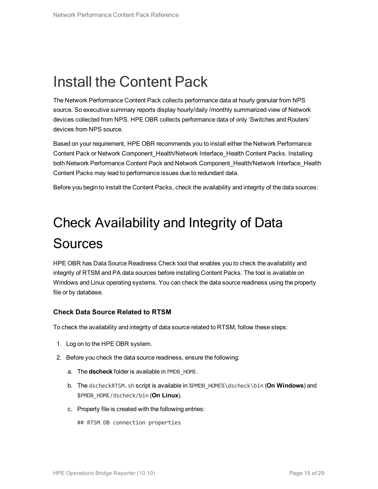# <span id="page-14-0"></span>Install the Content Pack

The Network Performance Content Pack collects performance data at hourly granular from NPS source. So executive summary reports display hourly/daily /monthly summarized view of Network devices collected from NPS. HPE OBR collects performance data of only 'Switches and Routers' devices from NPS source.

Based on your requirement, HPE OBR recommends you to install either the Network Performance Content Pack or Network Component\_Health/Network Interface\_Health Content Packs. Installing both Network Performance Content Pack and Network Component\_Health/Network Interface\_Health Content Packs may lead to performance issues due to redundant data.

<span id="page-14-1"></span>Before you begin to install the Content Packs, check the availability and integrity of the data sources:

# Check Availability and Integrity of Data **Sources**

HPE OBR has Data Source Readiness Check tool that enables you to check the availability and integrity of RTSM and PA data sources before installing Content Packs. The tool is available on Windows and Linux operating systems. You can check the data source readiness using the property file or by database.

#### **Check Data Source Related to RTSM**

To check the availability and integrity of data source related to RTSM, follow these steps:

- 1. Log on to the HPE OBR system.
- 2. Before you check the data source readiness, ensure the following:
	- a. The **dscheck** folder is available in PMDB\_HOME.
	- b. The dscheckRTSM.sh script is available in %PMDB\_HOME%\dscheck\bin (**On Windows**) and \$PMDB\_HOME/dscheck/bin (**On Linux**).
	- c. Property file is created with the following entries:

## RTSM DB connection properties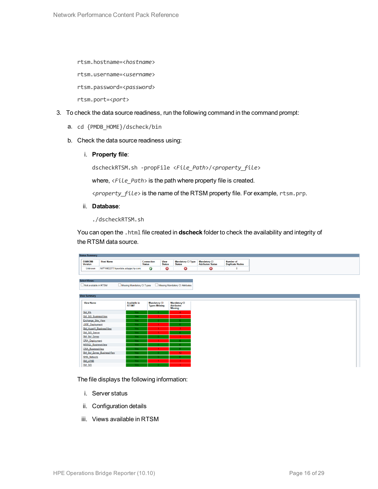rtsm.hostname=<*hostname*>

rtsm.username=<*username*>

rtsm.password=<*password*>

rtsm.port=<*port*>

- 3. To check the data source readiness, run the following command in the command prompt:
	- a. cd {PMDB\_HOME}/dscheck/bin
	- b. Check the data source readiness using:
		- i. **Property file**:

dscheckRTSM.sh -propFile <*File\_Path*>/<*property\_file*>

where,  $\langle$ File Path> is the path where property file is created.

<*property\_file*> is the name of the RTSM property file. For example, rtsm.prp.

ii. **Database**:

./dscheckRTSM.sh

You can open the .html file created in **dscheck** folder to check the availability and integrity of the RTSM data source.

| <b>Status Summary</b>            |                                   |                            |                             |                              |                                           |                                           |                                      |
|----------------------------------|-----------------------------------|----------------------------|-----------------------------|------------------------------|-------------------------------------------|-------------------------------------------|--------------------------------------|
| <b>BSM/OMi</b><br><b>Version</b> | <b>Host Name</b>                  |                            | Connection<br><b>Status</b> | <b>View</b><br><b>Status</b> | <b>Mandatory CI Type</b><br><b>Status</b> | <b>Mandatory CI<br/>Attributes Status</b> | <b>Number of<br/>Duplicate Nodes</b> |
| Unknown                          | IWFVM02277.hpswlabs.adapps.hp.com |                            | Ø                           | ◶                            | 0                                         | 0                                         | $\bullet$                            |
|                                  |                                   |                            |                             |                              |                                           |                                           |                                      |
|                                  |                                   |                            |                             |                              |                                           |                                           |                                      |
| <b>Select Views:</b>             |                                   |                            |                             |                              |                                           |                                           |                                      |
| Not available in RTSM            |                                   | Missing Mandatory CI Types |                             |                              | Missing Mandatory CI Attributes           |                                           |                                      |
|                                  |                                   |                            |                             |                              |                                           |                                           |                                      |
| <b>View Summary</b>              |                                   |                            |                             |                              |                                           |                                           |                                      |
|                                  |                                   |                            |                             |                              |                                           |                                           |                                      |
| <b>View Name</b>                 |                                   | <b>Available in</b>        | <b>Mandatory CI</b>         |                              | <b>Mandatory CI</b>                       |                                           |                                      |
|                                  |                                   | RTSM?                      | <b>Types Missing</b>        |                              | <b>Attributes</b><br><b>Missing</b>       |                                           |                                      |
| SM_PA                            |                                   | Yes:                       | $\mathbf{0}$                |                              | $\blacktriangleleft$                      |                                           |                                      |
| SM SiS BusinessView              |                                   | Yes.                       |                             |                              |                                           |                                           |                                      |
| Exchange Site View               |                                   | <b>Yes</b>                 |                             |                              |                                           |                                           |                                      |
| J2EE_Deployment                  |                                   | Yes:                       |                             |                              | $\mathbf{0}$                              |                                           |                                      |
| SM_HyperV_BusinessView           |                                   | Yes.                       |                             |                              | $\mathbf{R}$                              |                                           |                                      |
| <b>SM_SiS_Server</b>             |                                   | Yes.                       |                             |                              |                                           |                                           |                                      |
| SM Sol Zones                     |                                   | Yes.                       |                             |                              |                                           |                                           |                                      |
| <b>ORA</b> Deployment            |                                   | Yes                        |                             |                              |                                           |                                           |                                      |
| MSSQL BusinessView               |                                   | <b>Yes</b>                 |                             |                              |                                           |                                           |                                      |
| <b>ORA BusinessView</b>          |                                   | Yes                        |                             |                              |                                           |                                           |                                      |
|                                  | SM_Sol_Zones_BusinessView         | Yes:                       |                             |                              | 12                                        |                                           |                                      |
| <b>SHR Network</b>               |                                   | Yes:                       | n.                          |                              |                                           |                                           |                                      |
| <b>SM_LPAR</b>                   |                                   | Yes                        |                             |                              |                                           |                                           |                                      |
| SM SiS                           |                                   | Yes:                       |                             |                              |                                           |                                           |                                      |

The file displays the following information:

- i. Server status
- ii. Configuration details
- iii. Views available in RTSM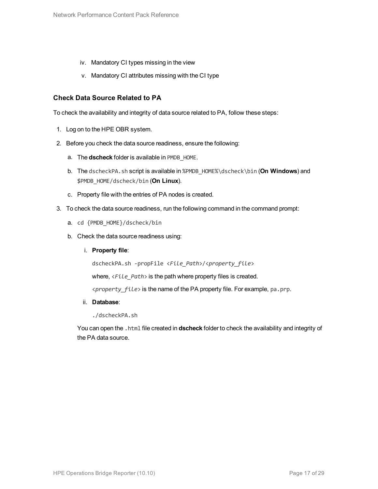- iv. Mandatory CI types missing in the view
- v. Mandatory CI attributes missing with the CI type

#### **Check Data Source Related to PA**

To check the availability and integrity of data source related to PA, follow these steps:

- 1. Log on to the HPE OBR system.
- 2. Before you check the data source readiness, ensure the following:
	- a. The **dscheck** folder is available in PMDB\_HOME.
	- b. The dscheckPA.sh script is available in %PMDB\_HOME%\dscheck\bin (**On Windows**) and \$PMDB\_HOME/dscheck/bin (**On Linux**).
	- c. Property file with the entries of PA nodes is created.
- 3. To check the data source readiness, run the following command in the command prompt:
	- a. cd {PMDB HOME}/dscheck/bin
	- b. Check the data source readiness using:
		- i. **Property file**:

dscheckPA.sh -propFile <*File\_Path*>/<*property\_file*>

where,  $\langle$ File Path> is the path where property files is created.

<*property\_file*> is the name of the PA property file. For example, pa.prp.

#### ii. **Database**:

./dscheckPA.sh

You can open the .html file created in **dscheck** folder to check the availability and integrity of the PA data source.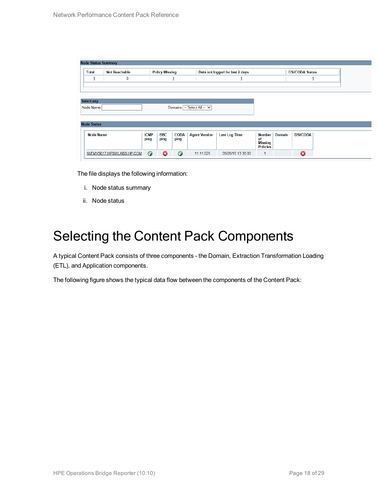|                    | <b>Node Status Summary</b> |                     |                       |                     |                             |                                 |                                   |                        |                 |  |
|--------------------|----------------------------|---------------------|-----------------------|---------------------|-----------------------------|---------------------------------|-----------------------------------|------------------------|-----------------|--|
| <b>Total</b>       | <b>Not Reachable</b>       |                     | <b>Policy Missing</b> |                     |                             | Data not logged for last 2 days |                                   | <b>DSi/CODA Status</b> |                 |  |
| 1                  | 0                          |                     |                       | ┹                   |                             |                                 |                                   |                        |                 |  |
|                    |                            |                     |                       |                     |                             |                                 |                                   |                        |                 |  |
|                    |                            |                     |                       |                     |                             |                                 |                                   |                        |                 |  |
| <b>Select any</b>  |                            |                     |                       |                     |                             |                                 |                                   |                        |                 |  |
| Node Name:         |                            |                     |                       |                     | Domains: -- Select All -- V |                                 |                                   |                        |                 |  |
|                    |                            |                     |                       |                     |                             |                                 |                                   |                        |                 |  |
|                    |                            |                     |                       |                     |                             |                                 |                                   |                        |                 |  |
| <b>Node Status</b> |                            |                     |                       |                     |                             |                                 |                                   |                        |                 |  |
|                    |                            |                     |                       |                     |                             |                                 |                                   |                        |                 |  |
| <b>Node Name</b>   |                            | <b>ICMP</b><br>ping | <b>BBC</b><br>ping    | <b>CODA</b><br>ping | <b>Agent Version</b>        | <b>Last Log Time</b>            | Number<br>of                      | <b>Domain</b>          | <b>DSi/CODA</b> |  |
|                    |                            |                     |                       |                     |                             |                                 | <b>Missing</b><br><b>Policies</b> |                        |                 |  |

The file displays the following information:

- i. Node status summary
- ii. Node status

### <span id="page-17-0"></span>Selecting the Content Pack Components

A typical Content Pack consists of three components - the Domain, Extraction Transformation Loading (ETL), and Application components.

The following figure shows the typical data flow between the components of the Content Pack: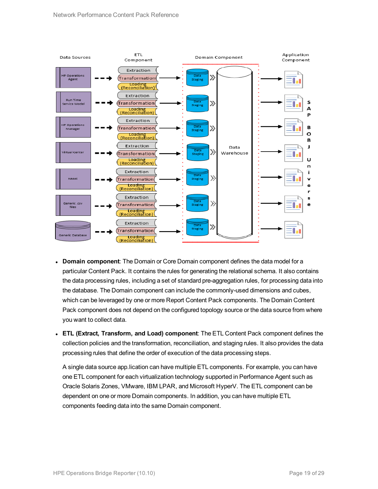

- **Domain component**: The Domain or Core Domain component defines the data model for a particular Content Pack. It contains the rules for generating the relational schema. It also contains the data processing rules, including a set of standard pre-aggregation rules, for processing data into the database. The Domain component can include the commonly-used dimensions and cubes, which can be leveraged by one or more Report Content Pack components. The Domain Content Pack component does not depend on the configured topology source or the data source from where you want to collect data.
- <sup>l</sup> **ETL (Extract, Transform, and Load) component**: The ETL Content Pack component defines the collection policies and the transformation, reconciliation, and staging rules. It also provides the data processing rules that define the order of execution of the data processing steps.

A single data source app.lication can have multiple ETL components. For example, you can have one ETL component for each virtualization technology supported in Performance Agent such as Oracle Solaris Zones, VMware, IBM LPAR, and Microsoft HyperV. The ETL component can be dependent on one or more Domain components. In addition, you can have multiple ETL components feeding data into the same Domain component.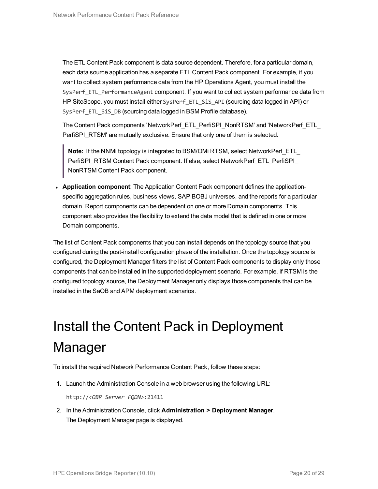The ETL Content Pack component is data source dependent. Therefore, for a particular domain, each data source application has a separate ETL Content Pack component. For example, if you want to collect system performance data from the HP Operations Agent, you must install the SysPerf\_ETL\_PerformanceAgent component. If you want to collect system performance data from HP SiteScope, you must install either SysPerf\_ETL\_SiS\_API (sourcing data logged in API) or SysPerf ETL SiS DB (sourcing data logged in BSM Profile database).

The Content Pack components 'NetworkPerf\_ETL\_PerfiSPI\_NonRTSM' and 'NetworkPerf\_ETL\_ PerfiSPI\_RTSM' are mutually exclusive. Ensure that only one of them is selected.

**Note:** If the NNMi topology is integrated to BSM/OMi RTSM, select NetworkPerf\_ETL PerfiSPI\_RTSM Content Pack component. If else, select NetworkPerf\_ETL\_PerfiSPI NonRTSM Content Pack component.

**• Application component**: The Application Content Pack component defines the applicationspecific aggregation rules, business views, SAP BOBJ universes, and the reports for a particular domain. Report components can be dependent on one or more Domain components. This component also provides the flexibility to extend the data model that is defined in one or more Domain components.

The list of Content Pack components that you can install depends on the topology source that you configured during the post-install configuration phase of the installation. Once the topology source is configured, the Deployment Manager filters the list of Content Pack components to display only those components that can be installed in the supported deployment scenario. For example, if RTSM is the configured topology source, the Deployment Manager only displays those components that can be installed in the SaOB and APM deployment scenarios.

# <span id="page-19-0"></span>Install the Content Pack in Deployment Manager

To install the required Network Performance Content Pack, follow these steps:

1. Launch the Administration Console in a web browser using the following URL:

http://*<OBR\_Server\_FQDN>*:21411

2. In the Administration Console, click **Administration > Deployment Manager**. The Deployment Manager page is displayed.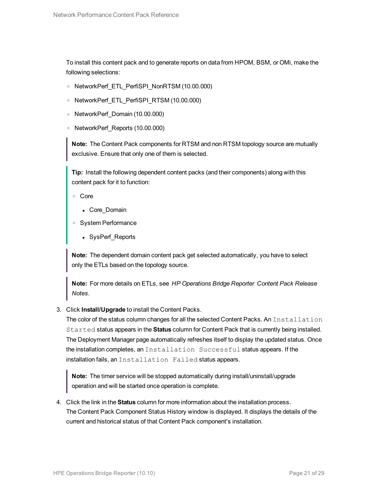To install this content pack and to generate reports on data from HPOM, BSM, or OMi, make the following selections:

- <sup>o</sup> NetworkPerf\_ETL\_PerfiSPI\_NonRTSM (10.00.000)
- <sup>o</sup> NetworkPerf\_ETL\_PerfiSPI\_RTSM (10.00.000)
- <sup>o</sup> NetworkPerf\_Domain (10.00.000)
- <sup>o</sup> NetworkPerf\_Reports (10.00.000)

**Note:** The Content Pack components for RTSM and non RTSM topology source are mutually exclusive. Ensure that only one of them is selected.

**Tip:** Install the following dependent content packs (and their components) along with this content pack for it to function:

- <sup>o</sup> Core
	- Core\_Domain
- <sup>o</sup> System Performance
	- SysPerf\_Reports

**Note:** The dependent domain content pack get selected automatically, you have to select only the ETLs based on the topology source.

**Note:** For more details on ETLs, see *HP Operations Bridge Reporter Content Pack Release Notes*.

3. Click **Install/Upgrade** to install the Content Packs.

The color of the status column changes for all the selected Content Packs. An Installation Started status appears in the **Status** column for Content Pack that is currently being installed. The Deployment Manager page automatically refreshes itself to display the updated status. Once the installation completes, an Installation Successful status appears. If the installation fails, an Installation Failed status appears.

**Note:** The timer service will be stopped automatically during install/uninstall/upgrade operation and will be started once operation is complete.

4. Click the link in the **Status** column for more information about the installation process. The Content Pack Component Status History window is displayed. It displays the details of the current and historical status of that Content Pack component's installation.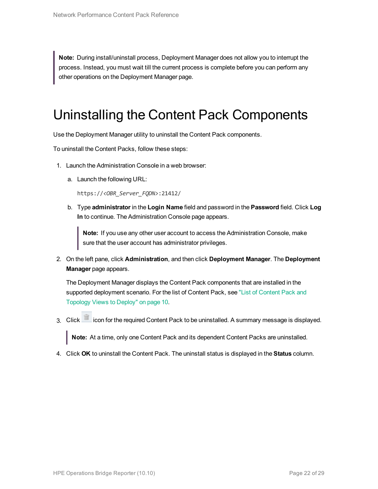**Note:** During install/uninstall process, Deployment Manager does not allow you to interrupt the process. Instead, you must wait till the current process is complete before you can perform any other operations on the Deployment Manager page.

## <span id="page-21-0"></span>Uninstalling the Content Pack Components

Use the Deployment Manager utility to uninstall the Content Pack components.

To uninstall the Content Packs, follow these steps:

- 1. Launch the Administration Console in a web browser:
	- a. Launch the following URL:

https://*<OBR\_Server\_FQDN>*:21412/

b. Type **administrator** in the **Login Name** field and password in the **Password** field. Click **Log In** to continue. The Administration Console page appears.

**Note:** If you use any other user account to access the Administration Console, make sure that the user account has administrator privileges.

2. On the left pane, click **Administration**, and then click **Deployment Manager**. The **Deployment Manager** page appears.

The Deployment Manager displays the Content Pack components that are installed in the supported deployment scenario. For the list of [Content](#page-9-1) Pack, see "List of Content Pack and [Topology](#page-9-1) Views to Deploy" on page 10.

3. Click in icon for the required Content Pack to be uninstalled. A summary message is displayed.

**Note:** At a time, only one Content Pack and its dependent Content Packs are uninstalled.

4. Click **OK** to uninstall the Content Pack. The uninstall status is displayed in the **Status** column.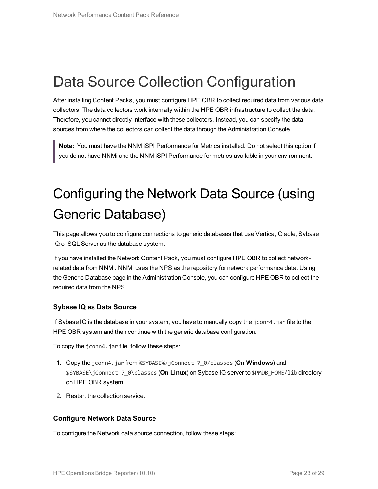# <span id="page-22-0"></span>Data Source Collection Configuration

After installing Content Packs, you must configure HPE OBR to collect required data from various data collectors. The data collectors work internally within the HPE OBR infrastructure to collect the data. Therefore, you cannot directly interface with these collectors. Instead, you can specify the data sources from where the collectors can collect the data through the Administration Console.

<span id="page-22-1"></span>**Note:** You must have the NNM iSPI Performance for Metrics installed. Do not select this option if you do not have NNMi and the NNM iSPI Performance for metrics available in your environment.

# Configuring the Network Data Source (using Generic Database)

This page allows you to configure connections to generic databases that use Vertica, Oracle, Sybase IQ or SQL Server as the database system.

If you have installed the Network Content Pack, you must configure HPE OBR to collect networkrelated data from NNMi. NNMi uses the NPS as the repository for network performance data. Using the Generic Database page in the Administration Console, you can configure HPE OBR to collect the required data from the NPS.

#### **Sybase IQ as Data Source**

If Sybase IQ is the database in your system, you have to manually copy the jconn4.jar file to the HPE OBR system and then continue with the generic database configuration.

To copy the jconn4.jar file, follow these steps:

- 1. Copy the jconn4.jar from %SYBASE%/jConnect-7\_0/classes (**On Windows**) and \$SYBASE\jConnect-7\_0\classes (**On Linux**) on Sybase IQ server to \$PMDB\_HOME/lib directory on HPE OBR system.
- 2. Restart the collection service.

#### **Configure Network Data Source**

To configure the Network data source connection, follow these steps: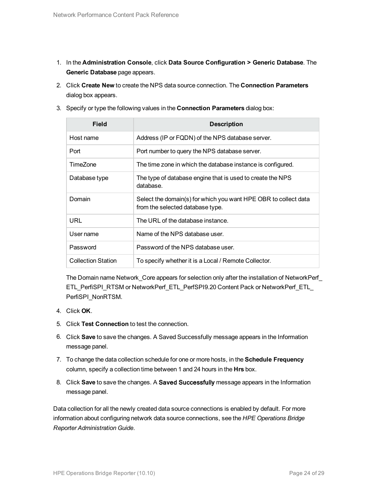- 1. In the **Administration Console**, click **Data Source Configuration > Generic Database**. The **Generic Database** page appears.
- 2. Click **Create New** to create the NPS data source connection. The **Connection Parameters** dialog box appears.
- 3. Specify or type the following values in the **Connection Parameters** dialog box:

| Field                     | <b>Description</b>                                                                                  |
|---------------------------|-----------------------------------------------------------------------------------------------------|
| Host name                 | Address (IP or FQDN) of the NPS database server.                                                    |
| Port                      | Port number to query the NPS database server.                                                       |
| TimeZone                  | The time zone in which the database instance is configured.                                         |
| Database type             | The type of database engine that is used to create the NPS<br>database.                             |
| Domain                    | Select the domain(s) for which you want HPE OBR to collect data<br>from the selected database type. |
| <b>URL</b>                | The URL of the database instance.                                                                   |
| User name                 | Name of the NPS database user.                                                                      |
| Password                  | Password of the NPS database user.                                                                  |
| <b>Collection Station</b> | To specify whether it is a Local / Remote Collector.                                                |

The Domain name Network\_Core appears for selection only after the installation of NetworkPerf\_ ETL\_PerfiSPI\_RTSM or NetworkPerf\_ETL\_PerfSPI9.20 Content Pack or NetworkPerf\_ETL\_ PerfiSPI\_NonRTSM.

- 4. Click **OK**.
- 5. Click **Test Connection** to test the connection.
- 6. Click **Save** to save the changes. A Saved Successfully message appears in the Information message panel.
- 7. To change the data collection schedule for one or more hosts, in the **Schedule Frequency** column, specify a collection time between 1 and 24 hours in the **Hrs** box.
- 8. Click **Save** to save the changes. A Saved Successfully message appears in the Information message panel.

Data collection for all the newly created data source connections is enabled by default. For more information about configuring network data source connections, see the *HPE Operations Bridge Reporter Administration Guide*.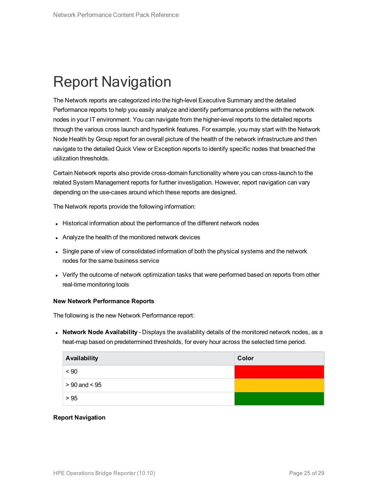# <span id="page-24-0"></span>Report Navigation

The Network reports are categorized into the high-level Executive Summary and the detailed Performance reports to help you easily analyze and identify performance problems with the network nodes in your IT environment. You can navigate from the higher-level reports to the detailed reports through the various cross launch and hyperlink features. For example, you may start with the Network Node Health by Group report for an overall picture of the health of the network infrastructure and then navigate to the detailed Quick View or Exception reports to identify specific nodes that breached the utilization thresholds.

Certain Network reports also provide cross-domain functionality where you can cross-launch to the related System Management reports for further investigation. However, report navigation can vary depending on the use-cases around which these reports are designed.

The Network reports provide the following information:

- Historical information about the performance of the different network nodes
- Analyze the health of the monitored network devices
- Single pane of view of consolidated information of both the physical systems and the network nodes for the same business service
- Verify the outcome of network optimization tasks that were performed based on reports from other real-time monitoring tools

#### **New Network Performance Reports**

The following is the new Network Performance report:

**Network Node Availability** - Displays the availability details of the monitored network nodes, as a heat-map based on predetermined thresholds, for every hour across the selected time period.

| Availability      | Color |
|-------------------|-------|
| ~< 90             |       |
| $> 90$ and $< 95$ |       |
| > 95              |       |

#### **Report Navigation**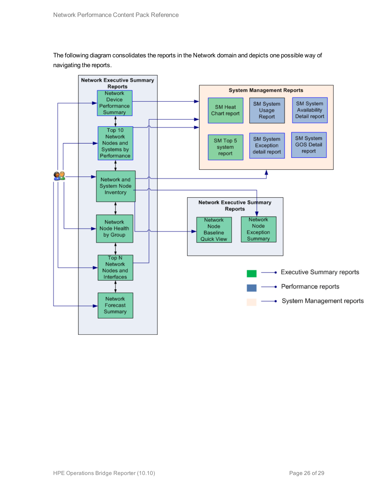The following diagram consolidates the reports in the Network domain and depicts one possible way of navigating the reports.

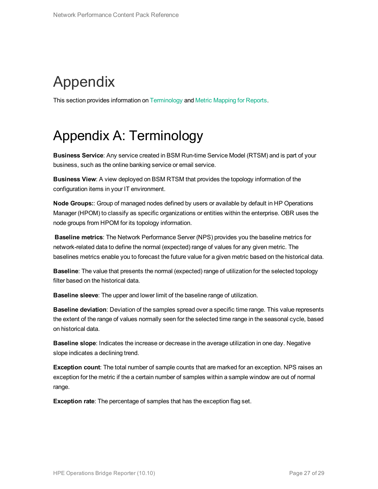# <span id="page-26-0"></span>Appendix

<span id="page-26-1"></span>This section provides information on [Terminology](#page-26-1) and Metric [Mapping](#page-27-0) for Reports.

## Appendix A: Terminology

**Business Service**: Any service created in BSM Run-time Service Model (RTSM) and is part of your business, such as the online banking service or email service.

**Business View**: A view deployed on BSM RTSM that provides the topology information of the configuration items in your IT environment.

**Node Groups:**: Group of managed nodes defined by users or available by default in HP Operations Manager (HPOM) to classify as specific organizations or entities within the enterprise. OBR uses the node groups from HPOM for its topology information.

**Baseline metrics**: The Network Performance Server (NPS) provides you the baseline metrics for network-related data to define the normal (expected) range of values for any given metric. The baselines metrics enable you to forecast the future value for a given metric based on the historical data.

**Baseline**: The value that presents the normal (expected) range of utilization for the selected topology filter based on the historical data.

**Baseline sleeve**: The upper and lower limit of the baseline range of utilization.

**Baseline deviation**: Deviation of the samples spread over a specific time range. This value represents the extent of the range of values normally seen for the selected time range in the seasonal cycle, based on historical data.

**Baseline slope**: Indicates the increase or decrease in the average utilization in one day. Negative slope indicates a declining trend.

**Exception count**: The total number of sample counts that are marked for an exception. NPS raises an exception for the metric if the a certain number of samples within a sample window are out of normal range.

**Exception rate**: The percentage of samples that has the exception flag set.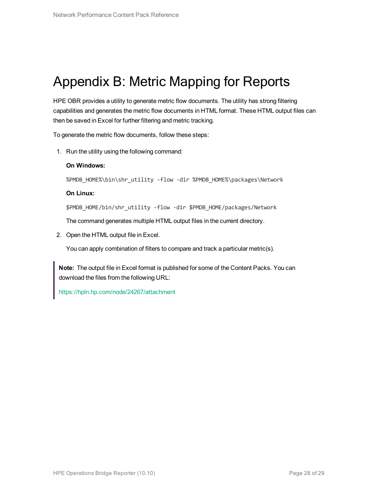## <span id="page-27-0"></span>Appendix B: Metric Mapping for Reports

HPE OBR provides a utility to generate metric flow documents. The utility has strong filtering capabilities and generates the metric flow documents in HTML format. These HTML output files can then be saved in Excel for further filtering and metric tracking.

To generate the metric flow documents, follow these steps:

1. Run the utility using the following command:

#### **On Windows:**

%PMDB\_HOME%\bin\shr\_utility -flow -dir %PMDB\_HOME%\packages\Network

#### **On Linux:**

\$PMDB\_HOME/bin/shr\_utility -flow -dir \$PMDB\_HOME/packages/Network

The command generates multiple HTML output files in the current directory.

2. Open the HTML output file in Excel.

You can apply combination of filters to compare and track a particular metric(s).

**Note:** The output file in Excel format is published for some of the Content Packs. You can download the files from the following URL:

<https://hpln.hp.com/node/24267/attachment>